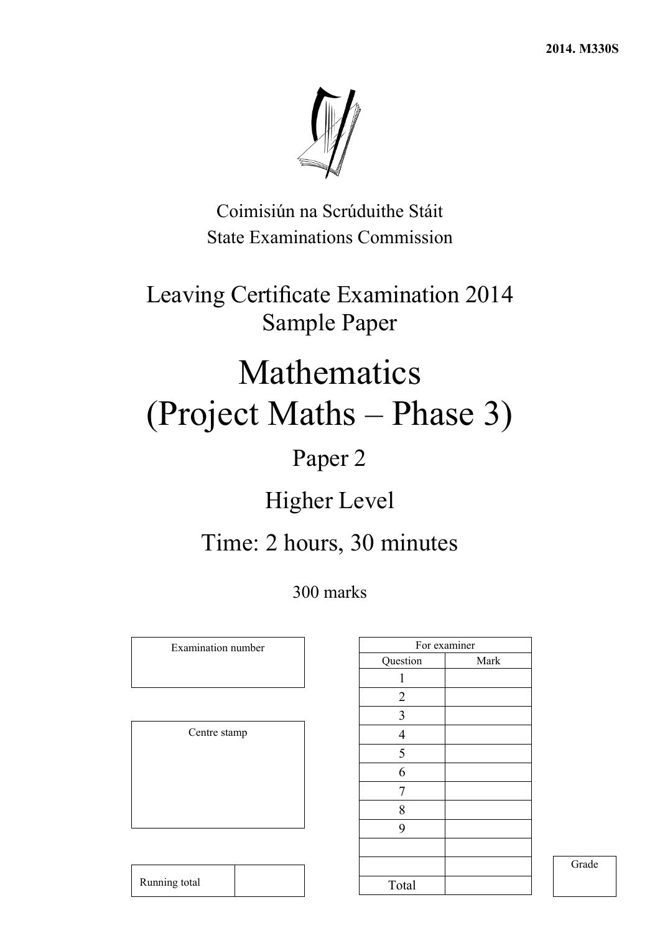

Coimisiún na Scrúduithe Stáit State Examinations Commission

Leaving Certificate Examination 2014 Sample Paper

# Mathematics (Project Maths – Phase 3)

## Paper 2

## Higher Level

## Time: 2 hours, 30 minutes

300 marks

Examination number

Centre stamp

|                | For examiner |
|----------------|--------------|
| Question       | Mark         |
| 1              |              |
| $\overline{2}$ |              |
| $\overline{3}$ |              |
| $\overline{4}$ |              |
| 5              |              |
| 6              |              |
| 7              |              |
| 8              |              |
| 9              |              |
|                |              |
|                |              |
| Total          |              |

Grade

Running total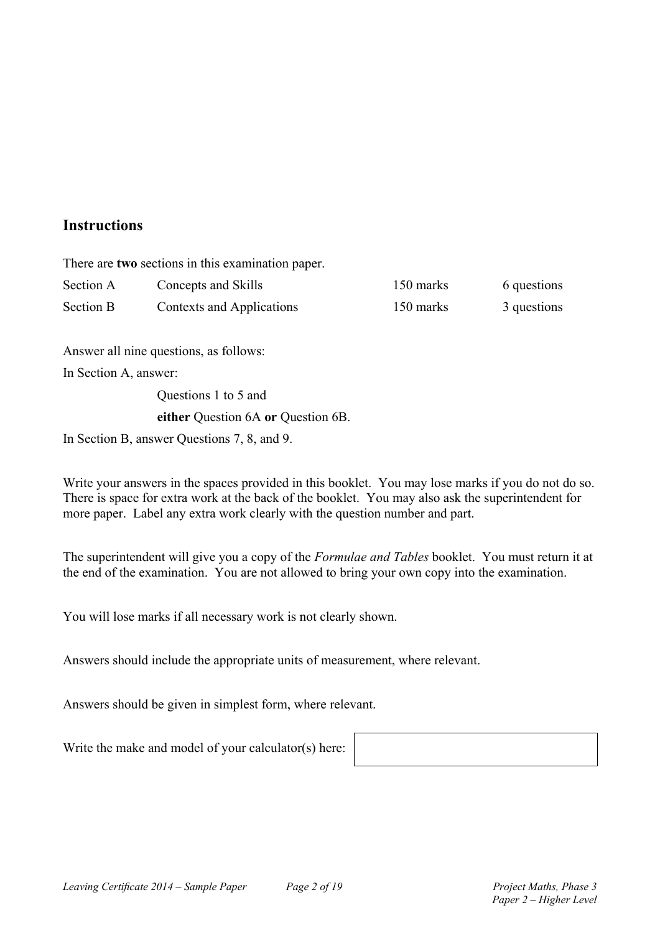### **Instructions**

There are **two** sections in this examination paper.

| Section A | Concepts and Skills       | 150 marks | 6 questions |
|-----------|---------------------------|-----------|-------------|
| Section B | Contexts and Applications | 150 marks | 3 questions |

Answer all nine questions, as follows:

In Section A, answer:

 Questions 1 to 5 and **either** Question 6A **or** Question 6B.

In Section B, answer Questions 7, 8, and 9.

Write your answers in the spaces provided in this booklet. You may lose marks if you do not do so. There is space for extra work at the back of the booklet. You may also ask the superintendent for more paper. Label any extra work clearly with the question number and part.

The superintendent will give you a copy of the *Formulae and Tables* booklet. You must return it at the end of the examination. You are not allowed to bring your own copy into the examination.

You will lose marks if all necessary work is not clearly shown.

Answers should include the appropriate units of measurement, where relevant.

Answers should be given in simplest form, where relevant.

Write the make and model of your calculator(s) here: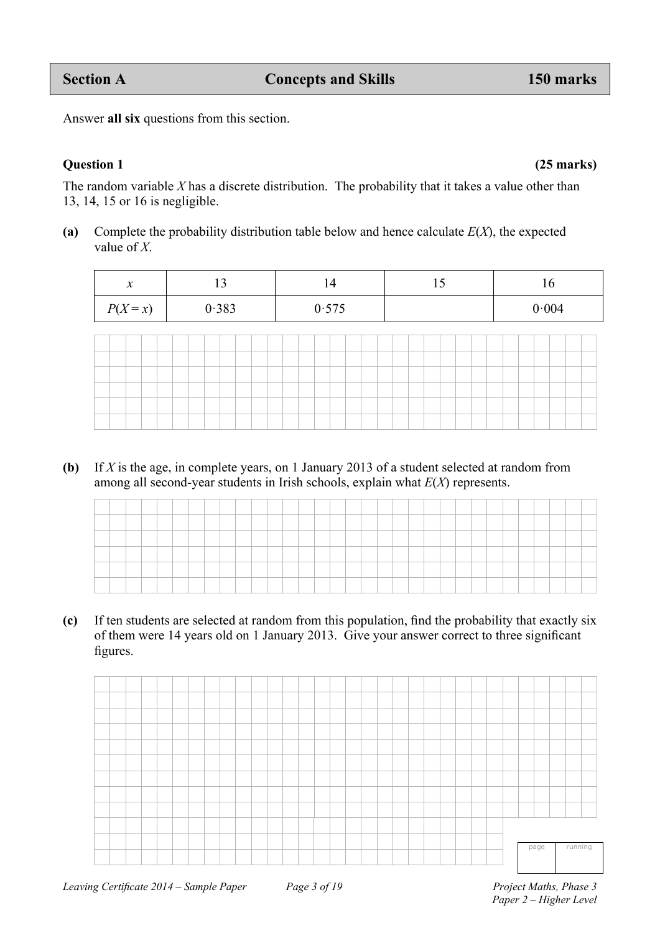Answer **all six** questions from this section.

### **Ouestion 1** (25 marks)

The random variable *X* has a discrete distribution. The probability that it takes a value other than 13, 14, 15 or 16 is negligible.

**(a)** Complete the probability distribution table below and hence calculate *E*(*X*), the expected value of *X*.

|  | $\boldsymbol{\chi}$ |  | 13    |  |  |  |  |  |  |  | 14    |  |  | 15 |  |  |  | 16 |       |  |
|--|---------------------|--|-------|--|--|--|--|--|--|--|-------|--|--|----|--|--|--|----|-------|--|
|  | $P(X=x)$            |  | 0.383 |  |  |  |  |  |  |  | 0.575 |  |  |    |  |  |  |    | 0.004 |  |
|  |                     |  |       |  |  |  |  |  |  |  |       |  |  |    |  |  |  |    |       |  |
|  |                     |  |       |  |  |  |  |  |  |  |       |  |  |    |  |  |  |    |       |  |
|  |                     |  |       |  |  |  |  |  |  |  |       |  |  |    |  |  |  |    |       |  |
|  |                     |  |       |  |  |  |  |  |  |  |       |  |  |    |  |  |  |    |       |  |
|  |                     |  |       |  |  |  |  |  |  |  |       |  |  |    |  |  |  |    |       |  |
|  |                     |  |       |  |  |  |  |  |  |  |       |  |  |    |  |  |  |    |       |  |
|  |                     |  |       |  |  |  |  |  |  |  |       |  |  |    |  |  |  |    |       |  |

**(b)** If *X* is the age, in complete years, on 1 January 2013 of a student selected at random from among all second-year students in Irish schools, explain what *E*(*X*) represents.

| <b>Contract Contract Contract</b> |  |  |  |  |  |  |  |     |  |  |  |  |  |  |  |  |
|-----------------------------------|--|--|--|--|--|--|--|-----|--|--|--|--|--|--|--|--|
| _____                             |  |  |  |  |  |  |  | --- |  |  |  |  |  |  |  |  |
|                                   |  |  |  |  |  |  |  |     |  |  |  |  |  |  |  |  |
|                                   |  |  |  |  |  |  |  |     |  |  |  |  |  |  |  |  |
|                                   |  |  |  |  |  |  |  |     |  |  |  |  |  |  |  |  |
|                                   |  |  |  |  |  |  |  |     |  |  |  |  |  |  |  |  |

**(c)** If ten students are selected at random from this population, find the probability that exactly six of them were 14 years old on 1 January 2013. Give your answer correct to three significant figures.

|  |  |  |  |  |  |  |  |  |  |  |  |  |  | page | running |  |
|--|--|--|--|--|--|--|--|--|--|--|--|--|--|------|---------|--|
|  |  |  |  |  |  |  |  |  |  |  |  |  |  |      |         |  |
|  |  |  |  |  |  |  |  |  |  |  |  |  |  |      |         |  |

 *Paper 2 – Higher Level*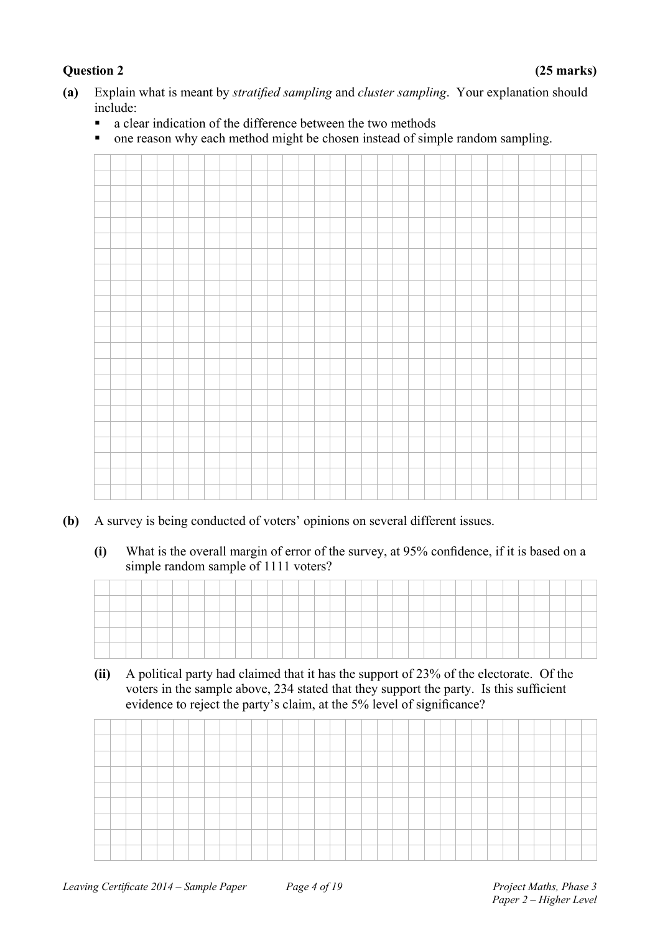- **(a)** Explain what is meant by *stratified sampling* and *cluster sampling*. Your explanation should include:
	- a clear indication of the difference between the two methods
	- one reason why each method might be chosen instead of simple random sampling.

- **(b)** A survey is being conducted of voters' opinions on several different issues.
	- **(i)** What is the overall margin of error of the survey, at 95% confidence, if it is based on a simple random sample of 1111 voters?

**(ii)** A political party had claimed that it has the support of 23% of the electorate. Of the voters in the sample above, 234 stated that they support the party. Is this sufficient evidence to reject the party's claim, at the 5% level of significance?

|  |  |  |  |  |  |  | ____ | ____ |  |  |  |  |  |  |  |  |
|--|--|--|--|--|--|--|------|------|--|--|--|--|--|--|--|--|
|  |  |  |  |  |  |  |      |      |  |  |  |  |  |  |  |  |
|  |  |  |  |  |  |  |      |      |  |  |  |  |  |  |  |  |
|  |  |  |  |  |  |  |      |      |  |  |  |  |  |  |  |  |
|  |  |  |  |  |  |  |      |      |  |  |  |  |  |  |  |  |
|  |  |  |  |  |  |  |      |      |  |  |  |  |  |  |  |  |
|  |  |  |  |  |  |  |      |      |  |  |  |  |  |  |  |  |
|  |  |  |  |  |  |  |      |      |  |  |  |  |  |  |  |  |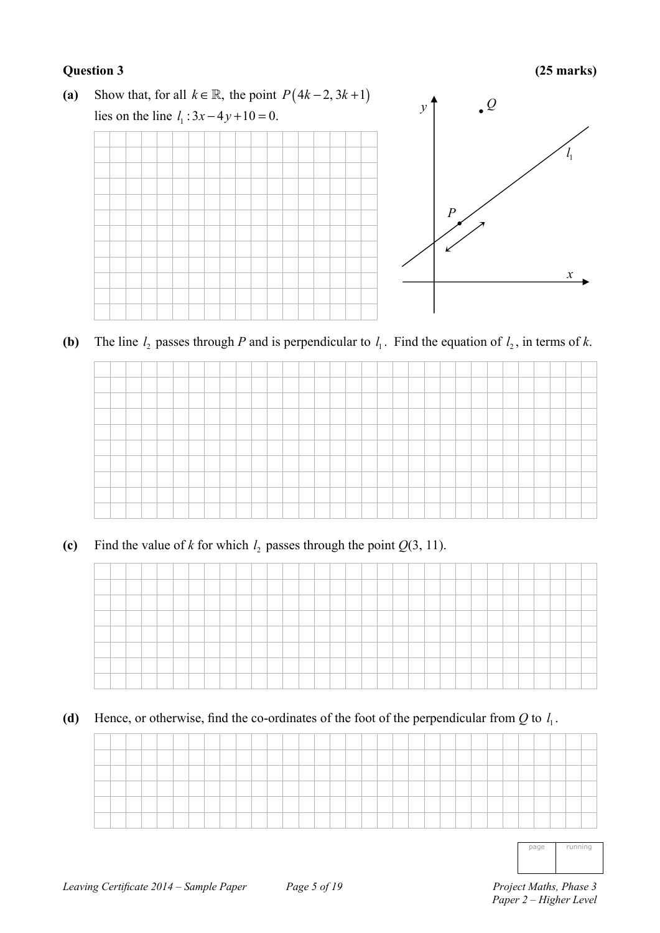#### **Question 3 (25 marks)**

**(a)** Show that, for all  $k \in \mathbb{R}$ , the point  $P(4k-2, 3k+1)$ lies on the line  $l_1$ :  $3x - 4y + 10 = 0$ .



### **(b)** The line  $l_2$  passes through *P* and is perpendicular to  $l_1$ . Find the equation of  $l_2$ , in terms of *k*.



**(c)** Find the value of *k* for which  $l_2$  passes through the point  $Q(3, 11)$ .

| ___   |  |  |  |  |       |  |  |  |                                                                                                                 |  |  |  |  |  |  |  |  |
|-------|--|--|--|--|-------|--|--|--|-----------------------------------------------------------------------------------------------------------------|--|--|--|--|--|--|--|--|
|       |  |  |  |  |       |  |  |  |                                                                                                                 |  |  |  |  |  |  |  |  |
|       |  |  |  |  |       |  |  |  |                                                                                                                 |  |  |  |  |  |  |  |  |
|       |  |  |  |  |       |  |  |  |                                                                                                                 |  |  |  |  |  |  |  |  |
| _____ |  |  |  |  | _____ |  |  |  | the contract of the contract of the contract of the contract of the contract of the contract of the contract of |  |  |  |  |  |  |  |  |

(d) Hence, or otherwise, find the co-ordinates of the foot of the perpendicular from  $Q$  to  $l_1$ .

|  |  |  |  |  |  |  |  | _________________ |  | the contract of the contract of the contract of the contract of the contract of the contract of the contract of |                                                                                                                 | _____ |  |  | ______ |  |
|--|--|--|--|--|--|--|--|-------------------|--|-----------------------------------------------------------------------------------------------------------------|-----------------------------------------------------------------------------------------------------------------|-------|--|--|--------|--|
|  |  |  |  |  |  |  |  |                   |  |                                                                                                                 |                                                                                                                 |       |  |  |        |  |
|  |  |  |  |  |  |  |  |                   |  |                                                                                                                 | the contract of the contract of the contract of the contract of the contract of the contract of the contract of |       |  |  | _____  |  |
|  |  |  |  |  |  |  |  |                   |  |                                                                                                                 |                                                                                                                 |       |  |  |        |  |
|  |  |  |  |  |  |  |  |                   |  |                                                                                                                 |                                                                                                                 |       |  |  |        |  |

page running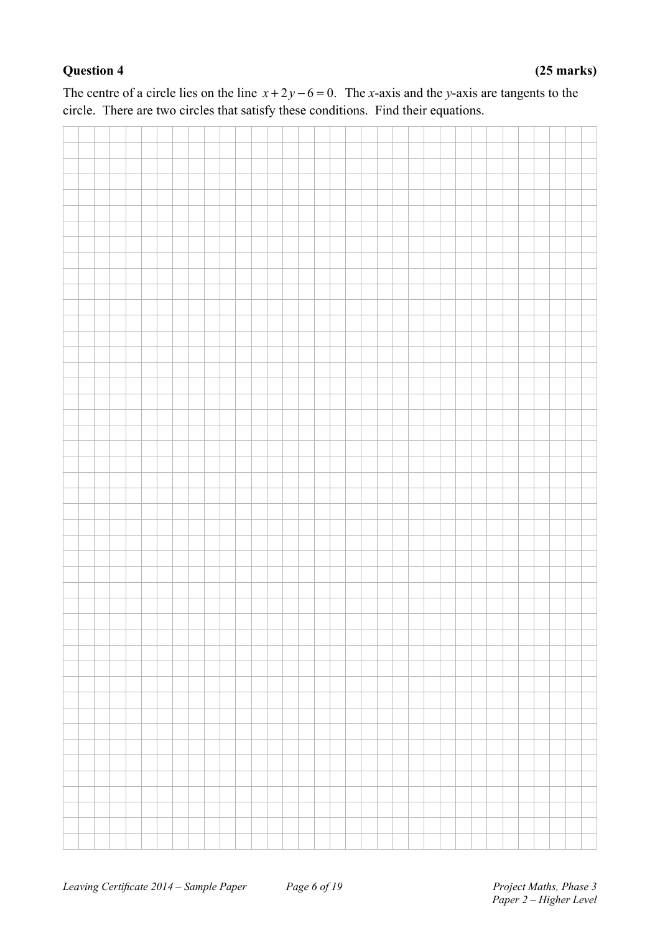### **Question 4 (25 marks)**



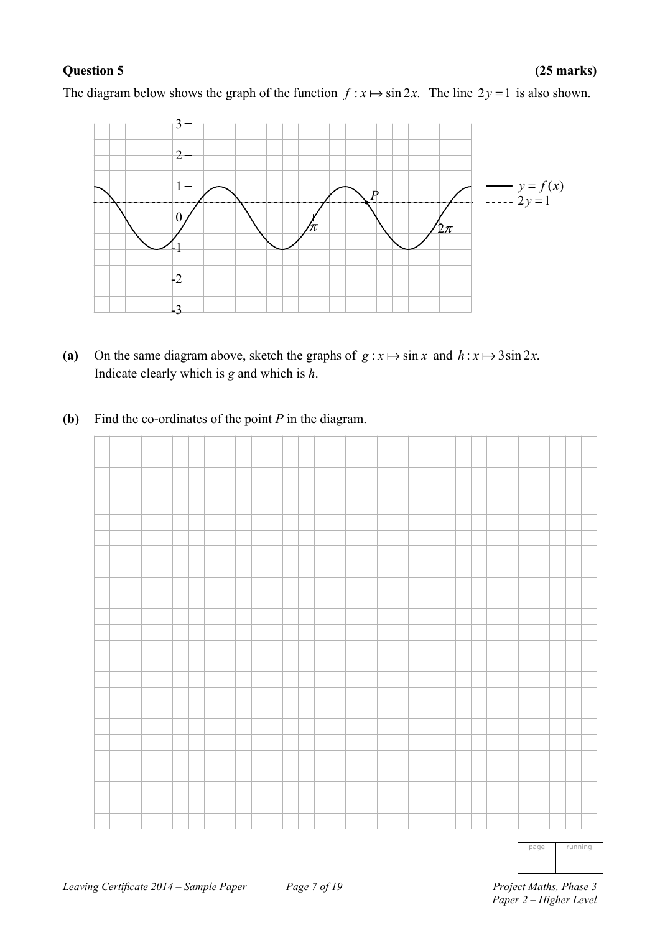The diagram below shows the graph of the function  $f: x \mapsto \sin 2x$ . The line  $2y = 1$  is also shown.



- (a) On the same diagram above, sketch the graphs of  $g: x \mapsto \sin x$  and  $h: x \mapsto 3\sin 2x$ . Indicate clearly which is *g* and which is *h*.
- **(b)** Find the co-ordinates of the point *P* in the diagram.



page running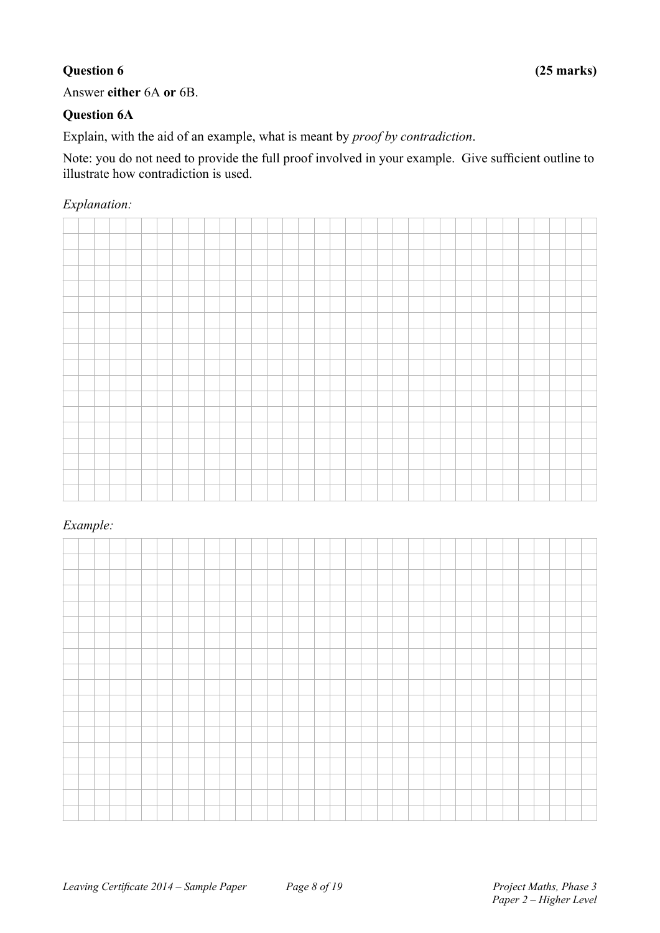Answer **either** 6A **or** 6B.

#### **Question 6A**

Explain, with the aid of an example, what is meant by *proof by contradiction*.

Note: you do not need to provide the full proof involved in your example. Give sufficient outline to illustrate how contradiction is used.

#### *Explanation:*

#### *Example:*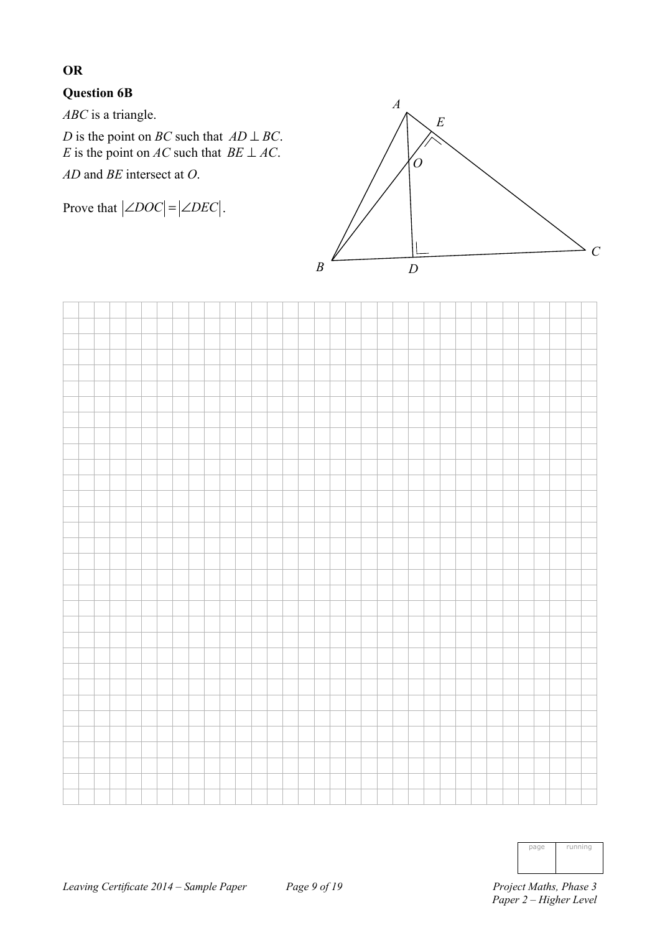### **OR**

#### **Question 6B**

*ABC* is a triangle.

*D* is the point on *BC* such that  $AD \perp BC$ . *E* is the point on *AC* such that  $BE \perp AC$ .

*AD* and *BE* intersect at *O*.

Prove that  $\left| \angle DOC \right| = \left| \angle DEC \right|$ .





| page | running |
|------|---------|
|      |         |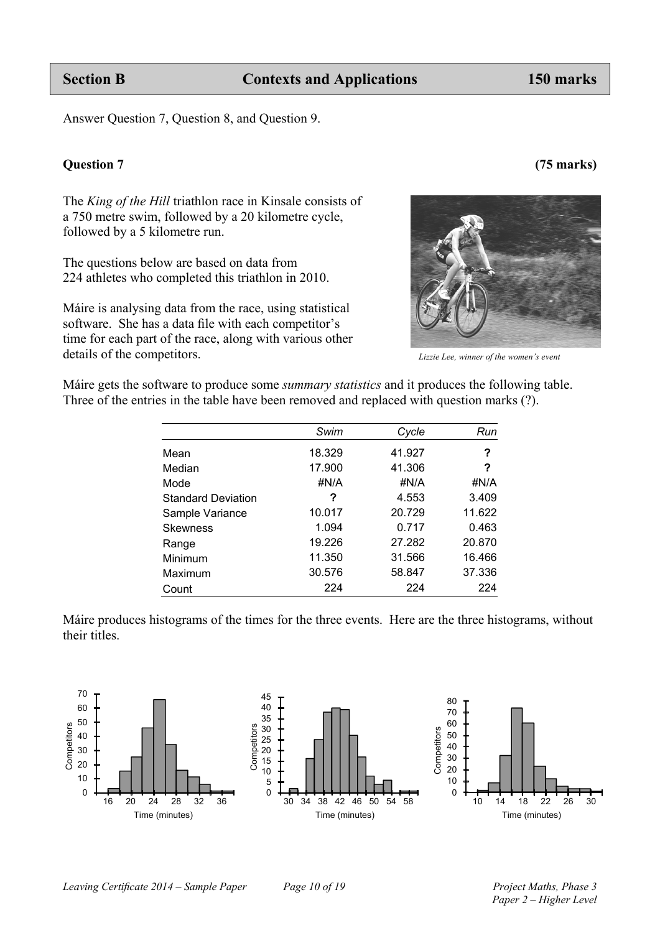Answer Question 7, Question 8, and Question 9.

#### **Question 7 (75 marks)**

The *King of the Hill* triathlon race in Kinsale consists of a 750 metre swim, followed by a 20 kilometre cycle, followed by a 5 kilometre run.

The questions below are based on data from 224 athletes who completed this triathlon in 2010.

Máire is analysing data from the race, using statistical software. She has a data file with each competitor's time for each part of the race, along with various other details of the competitors.

Máire gets the software to produce some *summary statistics* and it produces the following table. Three of the entries in the table have been removed and replaced with question marks (?).

> Mean 18.329 41.927 **?**  Median 17.900 41.306 **?**  Mode #N/A #N/A #N/A Standard Deviation **?** 4.553 3.409 Sample Variance **10.017** 20.729 11.622 Skewness 1.094 0.717 0.463 Range 19.226 27.282 20.870 Minimum 11.350 31.566 16.466 Maximum 30.576 58.847 37.336 Count 224 224 224

 *Swim Cycle Run* 

| Maire produces histograms of the times for the three events. Here are the three histograms, without |  |
|-----------------------------------------------------------------------------------------------------|--|
| their titles.                                                                                       |  |



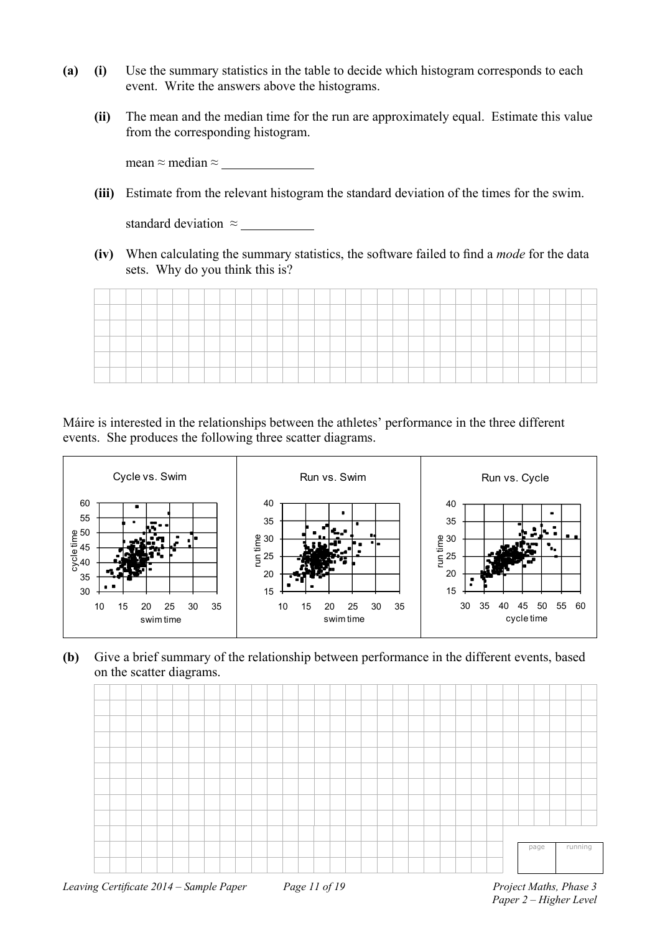- **(a) (i)** Use the summary statistics in the table to decide which histogram corresponds to each event. Write the answers above the histograms.
	- **(ii)** The mean and the median time for the run are approximately equal. Estimate this value from the corresponding histogram.

mean  $\approx$  median  $\approx$ 

**(iii)** Estimate from the relevant histogram the standard deviation of the times for the swim.

standard deviation ≈

**(iv)** When calculating the summary statistics, the software failed to find a *mode* for the data sets. Why do you think this is?

| <b>Property Controllers</b> |  |  |  |  |  |  |  |  |  |  |  | _______ |  | _____ |  |  |
|-----------------------------|--|--|--|--|--|--|--|--|--|--|--|---------|--|-------|--|--|
| --                          |  |  |  |  |  |  |  |  |  |  |  |         |  |       |  |  |
|                             |  |  |  |  |  |  |  |  |  |  |  |         |  |       |  |  |
|                             |  |  |  |  |  |  |  |  |  |  |  |         |  |       |  |  |

Máire is interested in the relationships between the athletes' performance in the three different events. She produces the following three scatter diagrams.



**(b)** Give a brief summary of the relationship between performance in the different events, based on the scatter diagrams.

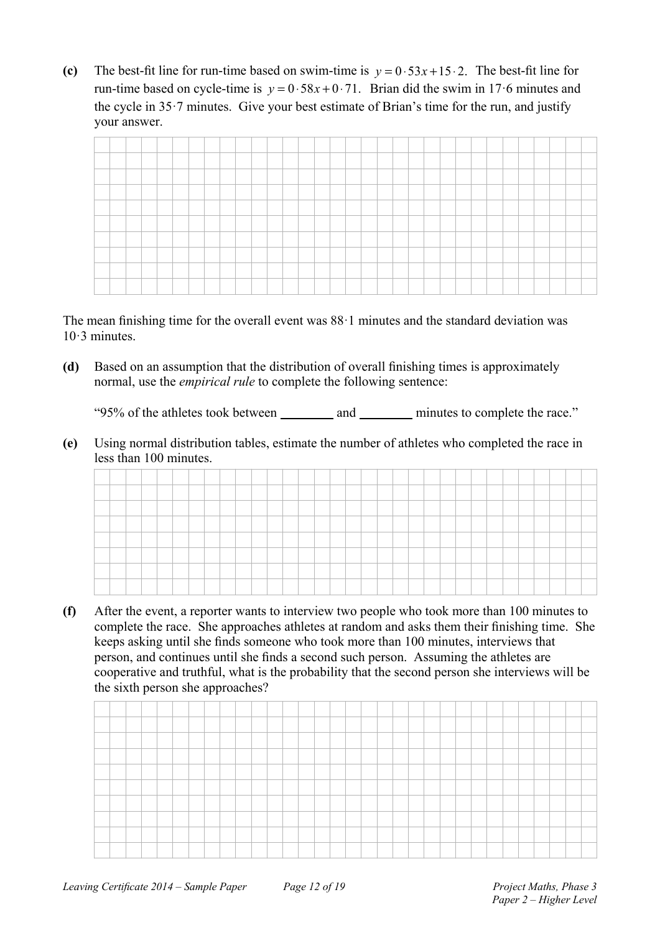(c) The best-fit line for run-time based on swim-time is  $y = 0.53x + 15.2$ . The best-fit line for run-time based on cycle-time is  $y = 0.58x + 0.71$ . Brian did the swim in 17.6 minutes and the cycle in 35·7 minutes. Give your best estimate of Brian's time for the run, and justify your answer.

The mean finishing time for the overall event was 88·1 minutes and the standard deviation was  $10.3$  minutes

**(d)** Based on an assumption that the distribution of overall finishing times is approximately normal, use the *empirical rule* to complete the following sentence:

"95% of the athletes took between and minutes to complete the race."

**(e)** Using normal distribution tables, estimate the number of athletes who completed the race in less than 100 minutes.

| __    |  |  |  |  |  |  |  |  |  |  |  |  |  |  |  |  |
|-------|--|--|--|--|--|--|--|--|--|--|--|--|--|--|--|--|
|       |  |  |  |  |  |  |  |  |  |  |  |  |  |  |  |  |
|       |  |  |  |  |  |  |  |  |  |  |  |  |  |  |  |  |
|       |  |  |  |  |  |  |  |  |  |  |  |  |  |  |  |  |
|       |  |  |  |  |  |  |  |  |  |  |  |  |  |  |  |  |
|       |  |  |  |  |  |  |  |  |  |  |  |  |  |  |  |  |
| _____ |  |  |  |  |  |  |  |  |  |  |  |  |  |  |  |  |
|       |  |  |  |  |  |  |  |  |  |  |  |  |  |  |  |  |

**(f)** After the event, a reporter wants to interview two people who took more than 100 minutes to complete the race. She approaches athletes at random and asks them their finishing time. She keeps asking until she finds someone who took more than 100 minutes, interviews that person, and continues until she finds a second such person. Assuming the athletes are cooperative and truthful, what is the probability that the second person she interviews will be the sixth person she approaches?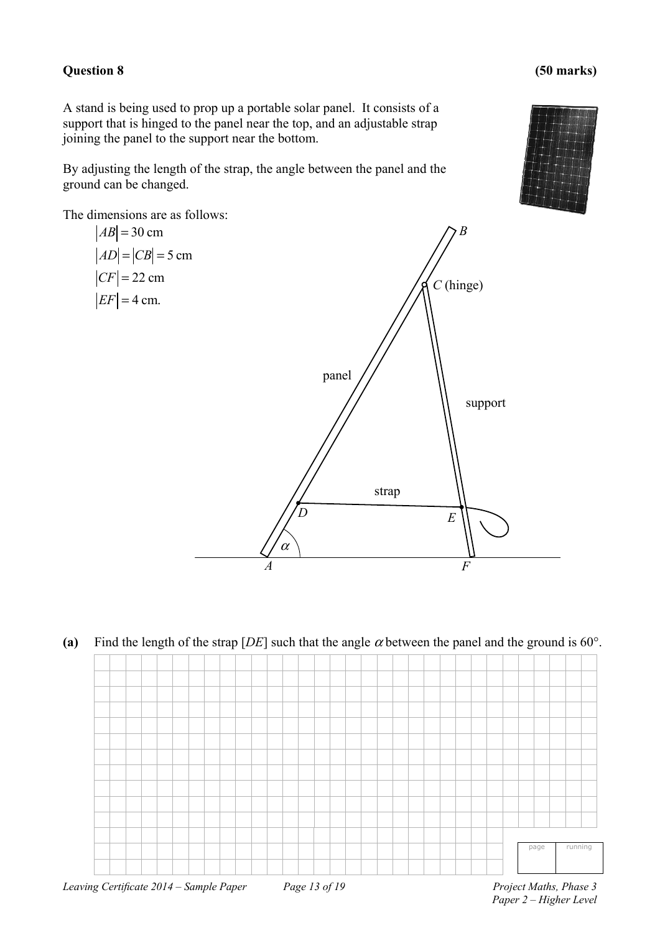A stand is being used to prop up a portable solar panel. It consists of a support that is hinged to the panel near the top, and an adjustable strap joining the panel to the support near the bottom.

By adjusting the length of the strap, the angle between the panel and the ground can be changed.

The dimensions are as follows:



(a) Find the length of the strap  $[DE]$  such that the angle  $\alpha$  between the panel and the ground is 60°.

#### *Leaving Certificate 2014 – Sample Paper Page 13 of 19* Project Maths, Phase 3

 *Paper 2 – Higher Level* 

#### **Question 8 (50 marks)**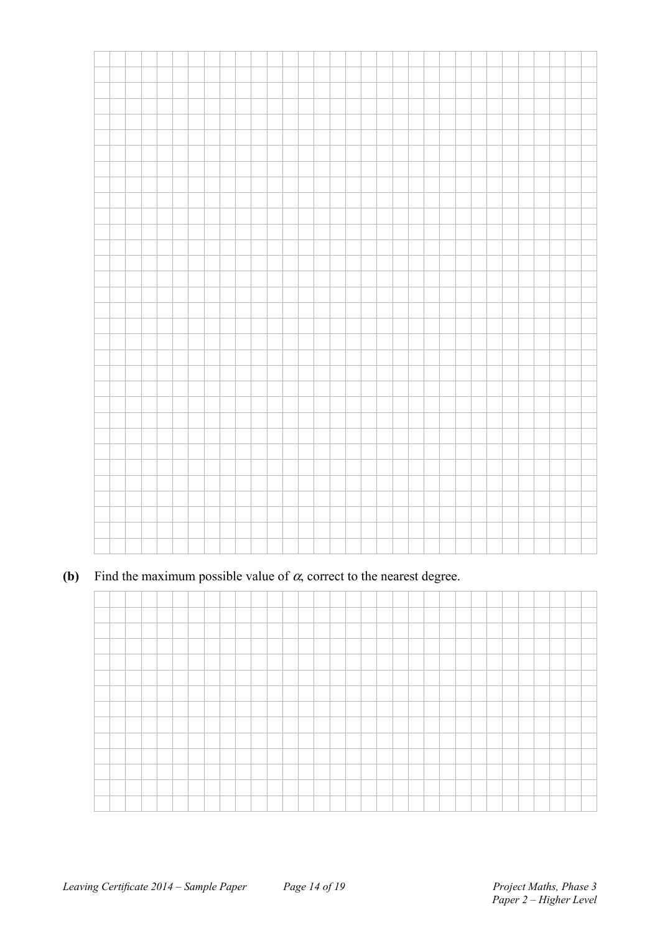

### **(b)** Find the maximum possible value of  $\alpha$ , correct to the nearest degree.

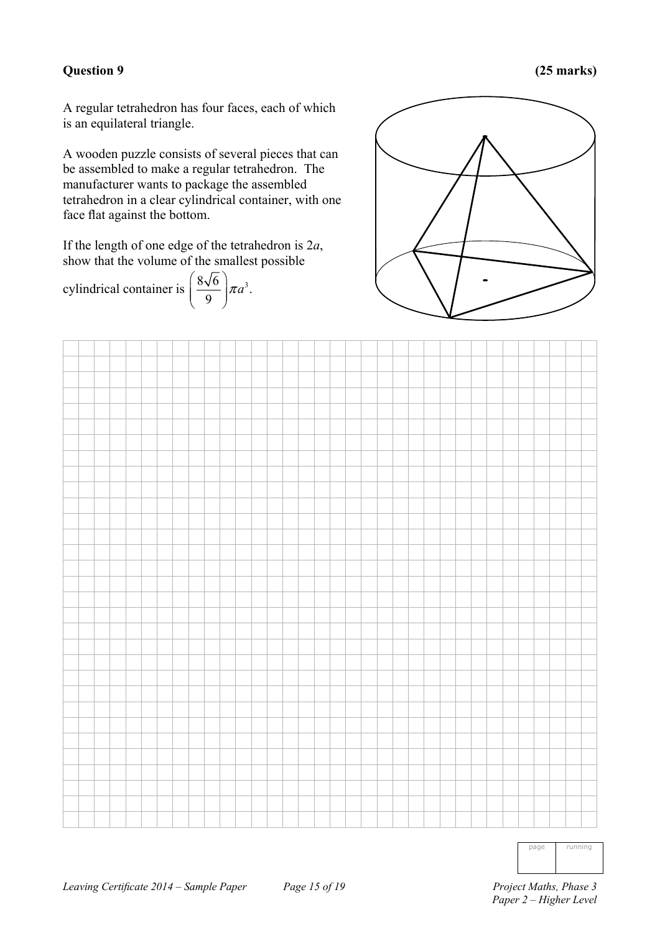**Question 9 (25 marks)** 

A regular tetrahedron has four faces, each of which is an equilateral triangle.

A wooden puzzle consists of several pieces that can be assembled to make a regular tetrahedron. The manufacturer wants to package the assembled tetrahedron in a clear cylindrical container, with one face flat against the bottom.

If the length of one edge of the tetrahedron is 2*a*, show that the volume of the smallest possible

cylindrical container is  $\left(\frac{8\sqrt{6}}{9}\right)\pi a^3$ . ( 9 )





page running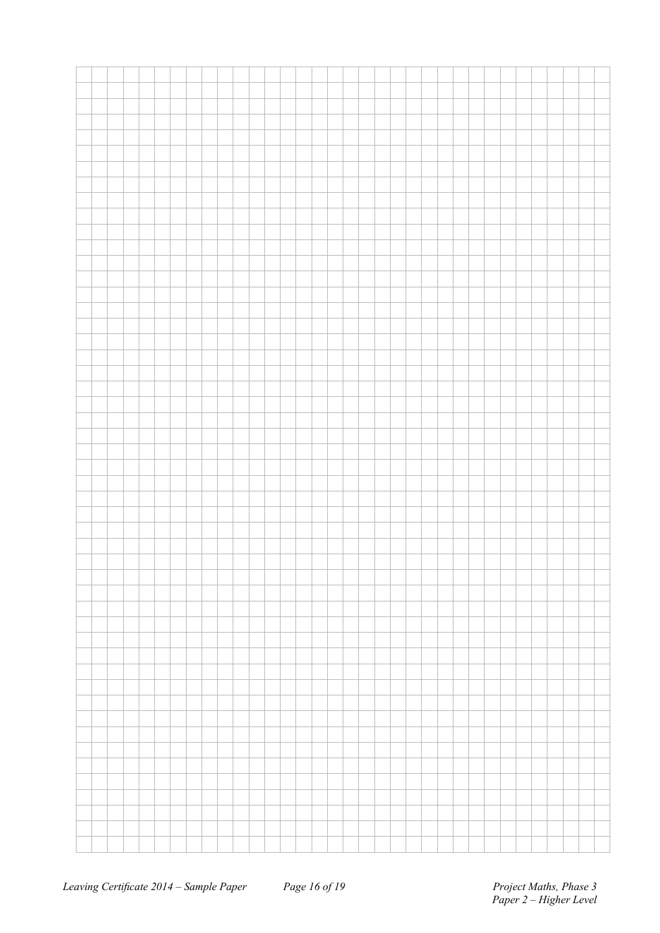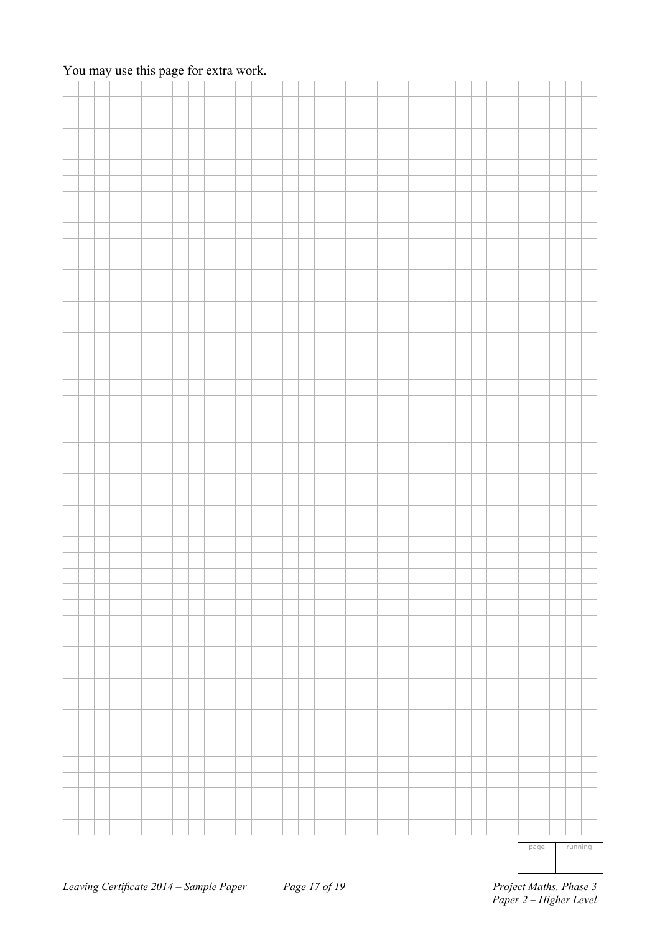### You may use this page for extra work.

|  |  |  |  |  |  |  |  |  |  |  |  |  |  |  | page | running |  |
|--|--|--|--|--|--|--|--|--|--|--|--|--|--|--|------|---------|--|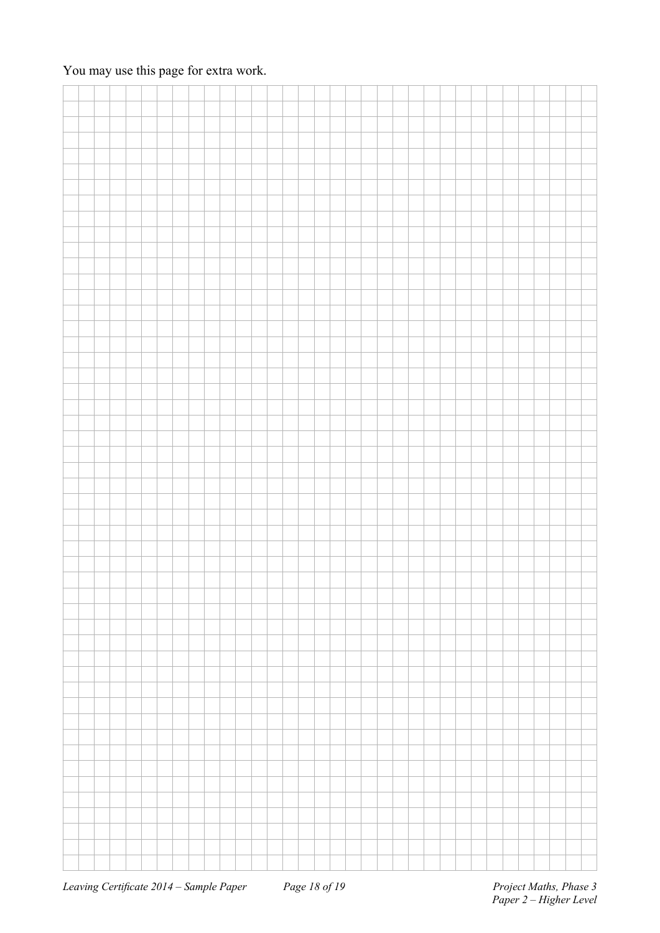### You may use this page for extra work.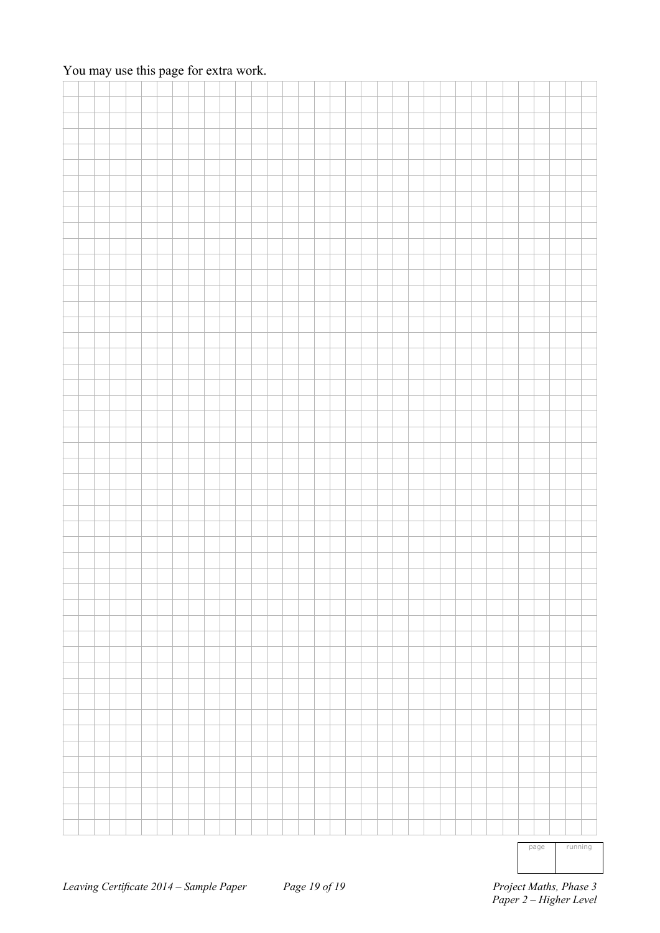### You may use this page for extra work.

|  |  |  |  |  |  |  |  |  |  |  |  |  |  |  | page | running |  |
|--|--|--|--|--|--|--|--|--|--|--|--|--|--|--|------|---------|--|